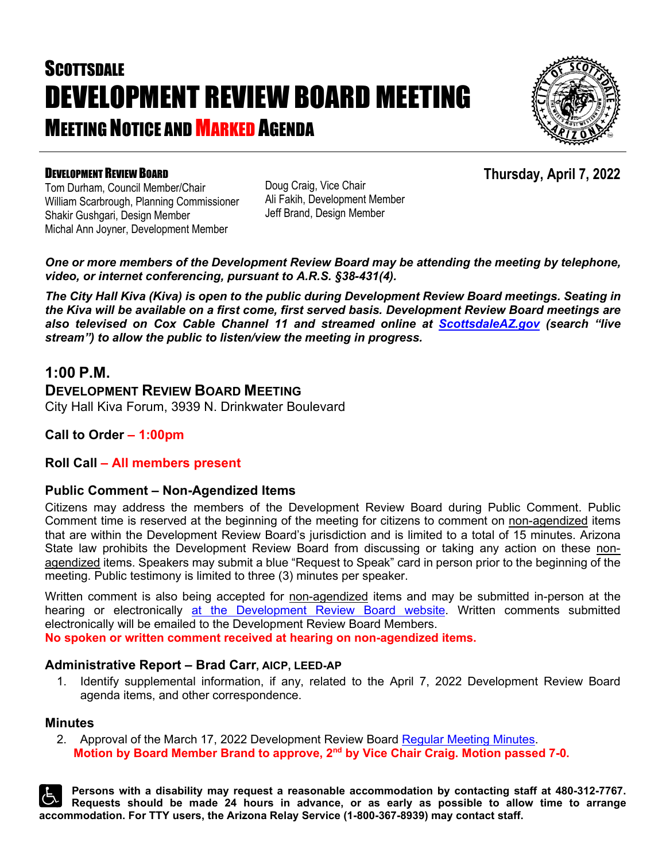# **SCOTTSDALE** DEVELOPMENT REVIEW BOARD MEETING **MEETING NOTICE AND MARKED AGENDA**



### DEVELOPMENT REVIEW BOARD

**Thursday, April 7, 2022**

Tom Durham, Council Member/Chair William Scarbrough, Planning Commissioner Shakir Gushgari, Design Member Michal Ann Joyner, Development Member

Doug Craig, Vice Chair Ali Fakih, Development Member Jeff Brand, Design Member

*One or more members of the Development Review Board may be attending the meeting by telephone, video, or internet conferencing, pursuant to A.R.S. §38-431(4).*

*The City Hall Kiva (Kiva) is open to the public during Development Review Board meetings. Seating in the Kiva will be available on a first come, first served basis. Development Review Board meetings are also televised on Cox Cable Channel 11 and streamed online at [ScottsdaleAZ.gov](http://www.scottsdaleaz.gov/) (search "live stream") to allow the public to listen/view the meeting in progress.*

## **1:00 P.M.**

## **DEVELOPMENT REVIEW BOARD MEETING**

City Hall Kiva Forum, 3939 N. Drinkwater Boulevard

**Call to Order – 1:00pm**

#### **Roll Call – All members present**

#### **Public Comment – Non-Agendized Items**

Citizens may address the members of the Development Review Board during Public Comment. Public Comment time is reserved at the beginning of the meeting for citizens to comment on non-agendized items that are within the Development Review Board's jurisdiction and is limited to a total of 15 minutes. Arizona State law prohibits the Development Review Board from discussing or taking any action on these nonagendized items. Speakers may submit a blue "Request to Speak" card in person prior to the beginning of the meeting. Public testimony is limited to three (3) minutes per speaker.

Written comment is also being accepted for non-agendized items and may be submitted in-person at the hearing or electronically [at the Development Review Board website.](https://www.scottsdaleaz.gov/boards/development-review-board/public-comment) Written comments submitted electronically will be emailed to the Development Review Board Members.

**No spoken or written comment received at hearing on non-agendized items.**

#### **Administrative Report – Brad Carr, AICP, LEED-AP**

1. Identify supplemental information, if any, related to the April 7, 2022 Development Review Board agenda items, and other correspondence.

#### **Minutes**

2. Approval of the March 17, 2022 Development Review Board [Regular Meeting Minutes.](https://eservices.scottsdaleaz.gov/planning/projectsummary/unrelated_documents/DRB_MEETING_MINUTES_03172022.pdf) **Motion by Board Member Brand to approve, 2nd by Vice Chair Craig. Motion passed 7-0.**

**Persons with a disability may request a reasonable accommodation by contacting staff at 480-312-7767. Requests should be made 24 hours in advance, or as early as possible to allow time to arrange accommodation. For TTY users, the Arizona Relay Service (1-800-367-8939) may contact staff.**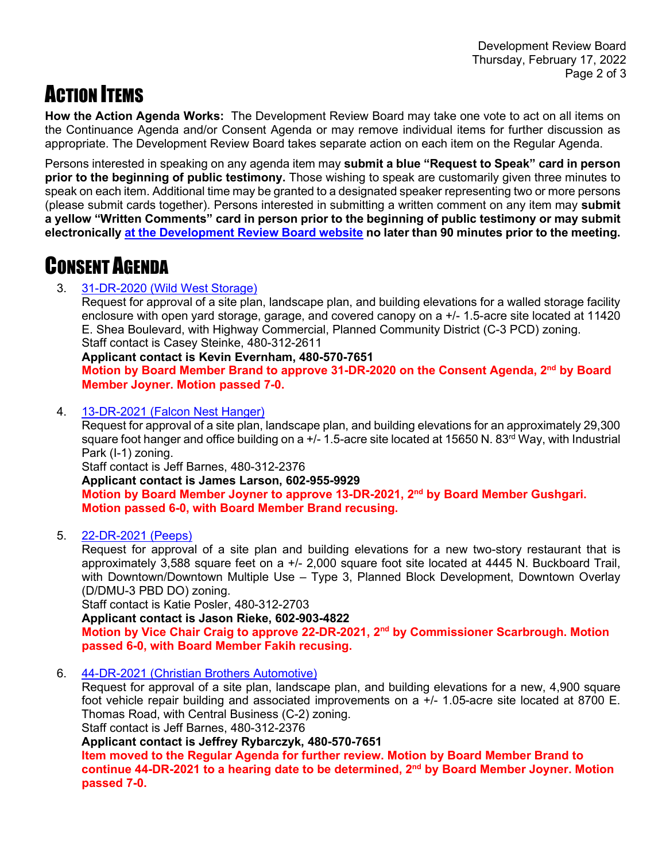## **ACTION ITEMS**

**How the Action Agenda Works:** The Development Review Board may take one vote to act on all items on the Continuance Agenda and/or Consent Agenda or may remove individual items for further discussion as appropriate. The Development Review Board takes separate action on each item on the Regular Agenda.

Persons interested in speaking on any agenda item may **submit a blue "Request to Speak" card in person prior to the beginning of public testimony.** Those wishing to speak are customarily given three minutes to speak on each item. Additional time may be granted to a designated speaker representing two or more persons (please submit cards together). Persons interested in submitting a written comment on any item may **submit a yellow "Written Comments" card in person prior to the beginning of public testimony or may submit electronically [at the Development Review Board website](https://www.scottsdaleaz.gov/boards/development-review-board/public-comment) no later than 90 minutes prior to the meeting.**

## CONSENT AGENDA

### 3. 31-DR-2020 [\(Wild West Storage\)](https://eservices.scottsdaleaz.gov/planning/projectsummary/dr_reports/DR_31_DR_2020.pdf)

Request for approval of a site plan, landscape plan, and building elevations for a walled storage facility enclosure with open yard storage, garage, and covered canopy on a +/- 1.5-acre site located at 11420 E. Shea Boulevard, with Highway Commercial, Planned Community District (C-3 PCD) zoning. Staff contact is Casey Steinke, 480-312-2611

#### **Applicant contact is Kevin Evernham, 480-570-7651**

**Motion by Board Member Brand to approve 31-DR-2020 on the Consent Agenda, 2nd by Board Member Joyner. Motion passed 7-0.**

4. 13-DR-2021 [\(Falcon Nest Hanger\)](https://eservices.scottsdaleaz.gov/planning/projectsummary/dr_reports/DR_13_DR_2021.pdf)

Request for approval of a site plan, landscape plan, and building elevations for an approximately 29,300 square foot hanger and office building on a  $+/-$  1.5-acre site located at 15650 N. 83<sup>rd</sup> Way, with Industrial Park (I-1) zoning.

Staff contact is Jeff Barnes, 480-312-2376

**Applicant contact is James Larson, 602-955-9929 Motion by Board Member Joyner to approve 13-DR-2021, 2nd by Board Member Gushgari. Motion passed 6-0, with Board Member Brand recusing.** 

5. [22-DR-2021](https://eservices.scottsdaleaz.gov/planning/projectsummary/dr_reports/DR_22_DR_2021.pdf) (Peeps)

Request for approval of a site plan and building elevations for a new two-story restaurant that is approximately 3,588 square feet on a +/- 2,000 square foot site located at 4445 N. Buckboard Trail, with Downtown/Downtown Multiple Use – Type 3, Planned Block Development, Downtown Overlay (D/DMU-3 PBD DO) zoning.

Staff contact is Katie Posler, 480-312-2703

**Applicant contact is Jason Rieke, 602-903-4822**

**Motion by Vice Chair Craig to approve 22-DR-2021, 2nd by Commissioner Scarbrough. Motion passed 6-0, with Board Member Fakih recusing.** 

6. [44-DR-2021 \(Christian Brothers Automotive\)](https://eservices.scottsdaleaz.gov/planning/projectsummary/dr_reports/DR_44_DR_2021.pdf)

Request for approval of a site plan, landscape plan, and building elevations for a new, 4,900 square foot vehicle repair building and associated improvements on a +/- 1.05-acre site located at 8700 E. Thomas Road, with Central Business (C-2) zoning.

Staff contact is Jeff Barnes, 480-312-2376

**Applicant contact is Jeffrey Rybarczyk, 480-570-7651**

**Item moved to the Regular Agenda for further review. Motion by Board Member Brand to continue 44-DR-2021 to a hearing date to be determined, 2nd by Board Member Joyner. Motion passed 7-0.**